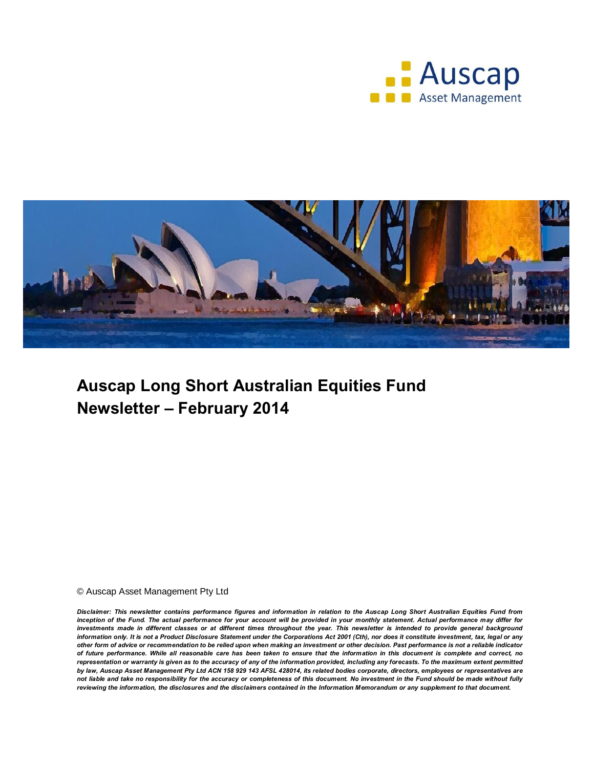



# **Auscap Long Short Australian Equities Fund Newsletter – February 2014**

© Auscap Asset Management Pty Ltd

*Disclaimer: This newsletter contains performance figures and information in relation to the Auscap Long Short Australian Equities Fund from inception of the Fund. The actual performance for your account will be provided in your monthly statement. Actual performance may differ for investments made in different classes or at different times throughout the year. This newsletter is intended to provide general background information only. It is not a Product Disclosure Statement under the Corporations Act 2001 (Cth), nor does it constitute investment, tax, legal or any other form of advice or recommendation to be relied upon when making an investment or other decision. Past performance is not a reliable indicator of future performance. While all reasonable care has been taken to ensure that the information in this document is complete and correct, no representation or warranty is given as to the accuracy of any of the information provided, including any forecasts. To the maximum extent permitted by law, Auscap Asset Management Pty Ltd ACN 158 929 143 AFSL 428014, its related bodies corporate, directors, employees or representatives are not liable and take no responsibility for the accuracy or completeness of this document. No investment in the Fund should be made without fully reviewing the information, the disclosures and the disclaimers contained in the Information Memorandum or any supplement to that document.*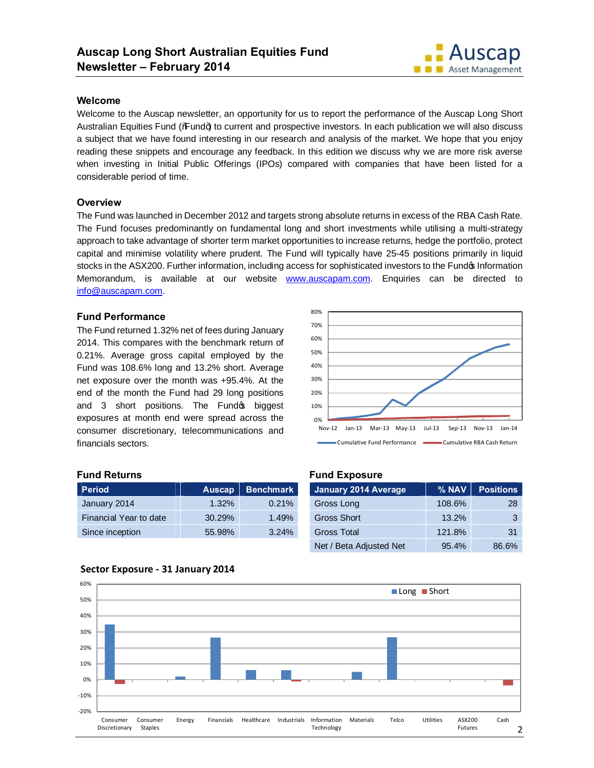

### **Welcome**

Welcome to the Auscap newsletter, an opportunity for us to report the performance of the Auscap Long Short Australian Equities Fund ("Fund+) to current and prospective investors. In each publication we will also discuss a subject that we have found interesting in our research and analysis of the market. We hope that you enjoy reading these snippets and encourage any feedback. In this edition we discuss why we are more risk averse when investing in Initial Public Offerings (IPOs) compared with companies that have been listed for a considerable period of time.

# **Overview**

The Fund was launched in December 2012 and targets strong absolute returns in excess of the RBA Cash Rate. The Fund focuses predominantly on fundamental long and short investments while utilising a multi-strategy approach to take advantage of shorter term market opportunities to increase returns, hedge the portfolio, protect capital and minimise volatility where prudent. The Fund will typically have 25-45 positions primarily in liquid stocks in the ASX200. Further information, including access for sophisticated investors to the Fundo Information Memorandum, is available at our website www.auscapam.com. Enquiries can be directed to info@auscapam.com.

# **Fund Performance**

The Fund returned 1.32% net of fees during January 2014. This compares with the benchmark return of 0.21%. Average gross capital employed by the Fund was 108.6% long and 13.2% short. Average net exposure over the month was +95.4%. At the end of the month the Fund had 29 long positions and 3 short positions. The Fund op biggest exposures at month end were spread across the consumer discretionary, telecommunications and financials sectors.



# **Fund Returns**

| <b>Period</b>          | <b>Auscap</b> | <b>Benchmark</b> |
|------------------------|---------------|------------------|
| January 2014           | 1.32%         | 0.21%            |
| Financial Year to date | 30.29%        | 1.49%            |
| Since inception        | 55.98%        | 3.24%            |

#### **Fund Exposure**

| <b>January 2014 Average</b> | % NAV  | <b>Positions</b> |
|-----------------------------|--------|------------------|
| Gross Long                  | 108.6% | 28               |
| <b>Gross Short</b>          | 13.2%  | 3                |
| Gross Total                 | 121.8% | 31               |
| Net / Beta Adjusted Net     | 95.4%  | 86.6%            |



# **Sector Exposure - 31 January 2014**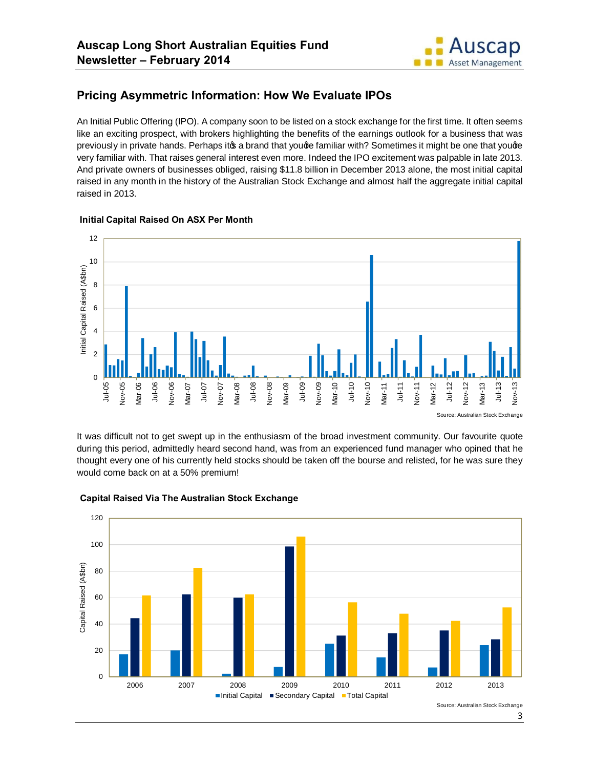

# **Pricing Asymmetric Information: How We Evaluate IPOs**

An Initial Public Offering (IPO). A company soon to be listed on a stock exchange for the first time. It often seems like an exciting prospect, with brokers highlighting the benefits of the earnings outlook for a business that was previously in private hands. Perhaps ito a brand that youge familiar with? Sometimes it might be one that youge very familiar with. That raises general interest even more. Indeed the IPO excitement was palpable in late 2013. And private owners of businesses obliged, raising \$11.8 billion in December 2013 alone, the most initial capital raised in any month in the history of the Australian Stock Exchange and almost half the aggregate initial capital raised in 2013.



#### **Initial Capital Raised On ASX Per Month**

Source: Australian Stock Exchange

It was difficult not to get swept up in the enthusiasm of the broad investment community. Our favourite quote during this period, admittedly heard second hand, was from an experienced fund manager who opined that he thought every one of his currently held stocks should be taken off the bourse and relisted, for he was sure they would come back on at a 50% premium!



#### **Capital Raised Via The Australian Stock Exchange**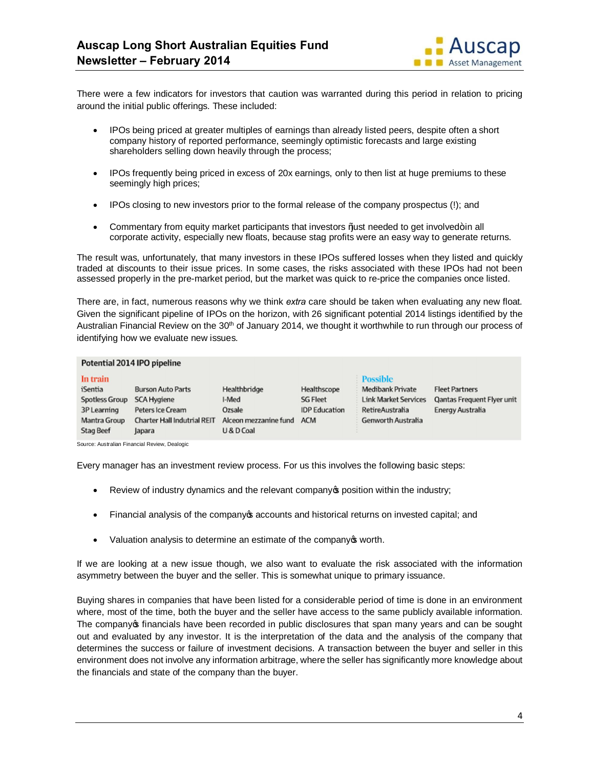

There were a few indicators for investors that caution was warranted during this period in relation to pricing around the initial public offerings. These included:

- · IPOs being priced at greater multiples of earnings than already listed peers, despite often a short company history of reported performance, seemingly optimistic forecasts and large existing shareholders selling down heavily through the process;
- IPOs frequently being priced in excess of 20x earnings, only to then list at huge premiums to these seemingly high prices;
- · IPOs closing to new investors prior to the formal release of the company prospectus (!); and
- Commentary from equity market participants that investors  $%$  ust needed to get involved  $+$  in all corporate activity, especially new floats, because stag profits were an easy way to generate returns.

The result was, unfortunately, that many investors in these IPOs suffered losses when they listed and quickly traded at discounts to their issue prices. In some cases, the risks associated with these IPOs had not been assessed properly in the pre-market period, but the market was quick to re-price the companies once listed.

There are, in fact, numerous reasons why we think *extra* care should be taken when evaluating any new float. Given the significant pipeline of IPOs on the horizon, with 26 significant potential 2014 listings identified by the Australian Financial Review on the 30<sup>th</sup> of January 2014, we thought it worthwhile to run through our process of identifying how we evaluate new issues.

#### Potential 2014 IPO pipeline

| In train<br>iSentia                  | <b>Burson Auto Parts</b>                     | Healthbridge                        | Healthscope                             | <b>Possible</b><br>Medibank Private            | <b>Fleet Partners</b>                                 |
|--------------------------------------|----------------------------------------------|-------------------------------------|-----------------------------------------|------------------------------------------------|-------------------------------------------------------|
| <b>Spotless Group</b><br>3P Learning | <b>SCA Hygiene</b><br>Peters Ice Cream       | I-Med<br>Ozsale                     | <b>SG Fleet</b><br><b>IDP</b> Education | <b>Link Market Services</b><br>RetireAustralia | <b>Qantas Frequent Flyer unit</b><br>Energy Australia |
| Mantra Group<br><b>Stag Beef</b>     | <b>Charter Hall Indutrial REIT</b><br>lapara | Alceon mezzanine fund<br>U & D Coal | <b>ACM</b>                              | <b>Genworth Australia</b>                      |                                                       |

Source: Australian Financial Review, Dealogic

Every manager has an investment review process. For us this involves the following basic steps:

- Review of industry dynamics and the relevant company opposition within the industry;
- Financial analysis of the company of accounts and historical returns on invested capital; and
- Valuation analysis to determine an estimate of the company of worth.

If we are looking at a new issue though, we also want to evaluate the risk associated with the information asymmetry between the buyer and the seller. This is somewhat unique to primary issuance.

Buying shares in companies that have been listed for a considerable period of time is done in an environment where, most of the time, both the buyer and the seller have access to the same publicly available information. The company of financials have been recorded in public disclosures that span many years and can be sought out and evaluated by any investor. It is the interpretation of the data and the analysis of the company that determines the success or failure of investment decisions. A transaction between the buyer and seller in this environment does not involve any information arbitrage, where the seller has significantly more knowledge about the financials and state of the company than the buyer.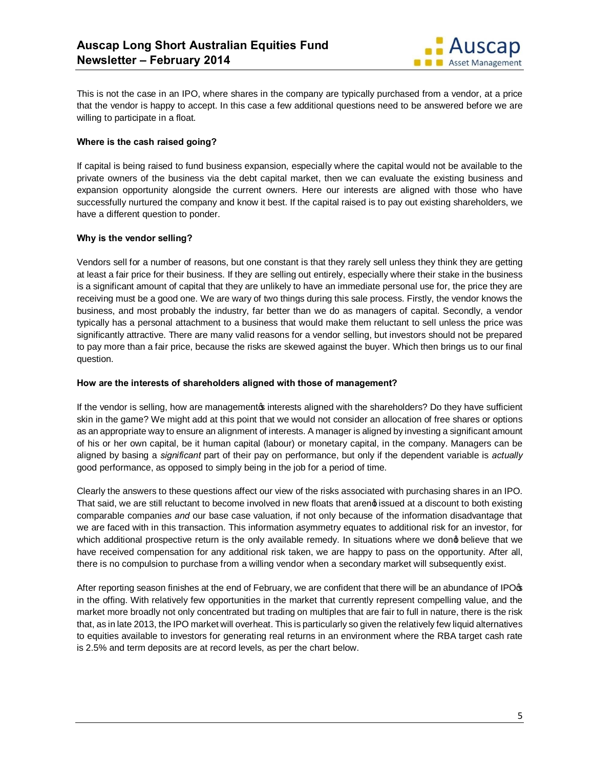

This is not the case in an IPO, where shares in the company are typically purchased from a vendor, at a price that the vendor is happy to accept. In this case a few additional questions need to be answered before we are willing to participate in a float.

#### **Where is the cash raised going?**

If capital is being raised to fund business expansion, especially where the capital would not be available to the private owners of the business via the debt capital market, then we can evaluate the existing business and expansion opportunity alongside the current owners. Here our interests are aligned with those who have successfully nurtured the company and know it best. If the capital raised is to pay out existing shareholders, we have a different question to ponder.

# **Why is the vendor selling?**

Vendors sell for a number of reasons, but one constant is that they rarely sell unless they think they are getting at least a fair price for their business. If they are selling out entirely, especially where their stake in the business is a significant amount of capital that they are unlikely to have an immediate personal use for, the price they are receiving must be a good one. We are wary of two things during this sale process. Firstly, the vendor knows the business, and most probably the industry, far better than we do as managers of capital. Secondly, a vendor typically has a personal attachment to a business that would make them reluctant to sell unless the price was significantly attractive. There are many valid reasons for a vendor selling, but investors should not be prepared to pay more than a fair price, because the risks are skewed against the buyer. Which then brings us to our final question.

#### **How are the interests of shareholders aligned with those of management?**

If the vendor is selling, how are managementos interests aligned with the shareholders? Do they have sufficient skin in the game? We might add at this point that we would not consider an allocation of free shares or options as an appropriate way to ensure an alignment of interests. A manager is aligned by investing a significant amount of his or her own capital, be it human capital (labour) or monetary capital, in the company. Managers can be aligned by basing a *significant* part of their pay on performance, but only if the dependent variable is *actually* good performance, as opposed to simply being in the job for a period of time.

Clearly the answers to these questions affect our view of the risks associated with purchasing shares in an IPO. That said, we are still reluctant to become involved in new floats that areng issued at a discount to both existing comparable companies *and* our base case valuation, if not only because of the information disadvantage that we are faced with in this transaction. This information asymmetry equates to additional risk for an investor, for which additional prospective return is the only available remedy. In situations where we dong believe that we have received compensation for any additional risk taken, we are happy to pass on the opportunity. After all, there is no compulsion to purchase from a willing vendor when a secondary market will subsequently exist.

After reporting season finishes at the end of February, we are confident that there will be an abundance of IPO $\phi$ in the offing. With relatively few opportunities in the market that currently represent compelling value, and the market more broadly not only concentrated but trading on multiples that are fair to full in nature, there is the risk that, as in late 2013, the IPO market will overheat. This is particularly so given the relatively few liquid alternatives to equities available to investors for generating real returns in an environment where the RBA target cash rate is 2.5% and term deposits are at record levels, as per the chart below.